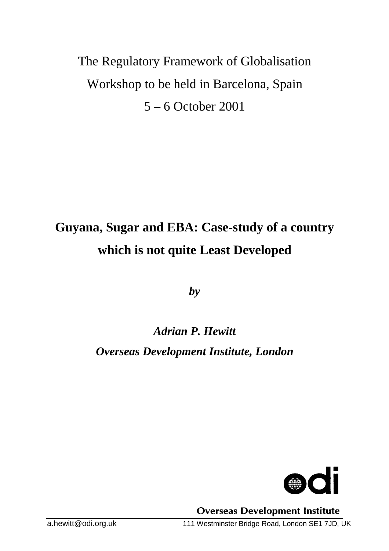# The Regulatory Framework of Globalisation Workshop to be held in Barcelona, Spain 5 – 6 October 2001

# **Guyana, Sugar and EBA: Case-study of a country which is not quite Least Developed**

*by*

# *Adrian P. Hewitt Overseas Development Institute, London*



**Overseas Development Institute**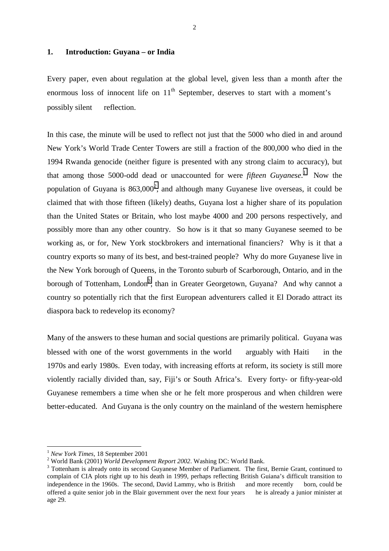#### **1. Introduction: Guyana – or India**

Every paper, even about regulation at the global level, given less than a month after the enormous loss of innocent life on  $11<sup>th</sup>$  September, deserves to start with a moment's possibly silent — reflection.

In this case, the minute will be used to reflect not just that the 5000 who died in and around New York's World Trade Center Towers are still a fraction of the 800,000 who died in the 1994 Rwanda genocide (neither figure is presented with any strong claim to accuracy), but that among those 5000-odd dead or unaccounted for were *fifteen Guyanese*. 1 Now the population of Guyana is  $863,000^2$ , and although many Guyanese live overseas, it could be claimed that with those fifteen (likely) deaths, Guyana lost a higher share of its population than the United States or Britain, who lost maybe 4000 and 200 persons respectively, and possibly more than any other country. So how is it that so many Guyanese seemed to be working as, or for, New York stockbrokers and international financiers? Why is it that a country exports so many of its best, and best-trained people? Why do more Guyanese live in the New York borough of Queens, in the Toronto suburb of Scarborough, Ontario, and in the borough of Tottenham, London<sup>3</sup>, than in Greater Georgetown, Guyana? And why cannot a country so potentially rich that the first European adventurers called it El Dorado attract its diaspora back to redevelop its economy?

Many of the answers to these human and social questions are primarily political. Guyana was blessed with one of the worst governments in the world — arguably with Haiti — in the 1970s and early 1980s. Even today, with increasing efforts at reform, its society is still more violently racially divided than, say, Fiji's or South Africa's. Every forty- or fifty-year-old Guyanese remembers a time when she or he felt more prosperous and when children were better-educated. And Guyana is the only country on the mainland of the western hemisphere

<sup>&</sup>lt;sup>1</sup> New York Times, 18 September 2001

<sup>&</sup>lt;sup>2</sup> World Bank (2001) *World Development Report 2002*. Washing DC: World Bank.

<sup>&</sup>lt;sup>3</sup> Tottenham is already onto its second Guyanese Member of Parliament. The first, Bernie Grant, continued to complain of CIA plots right up to his death in 1999, perhaps reflecting British Guiana's difficult transition to independence in the 1960s. The second, David Lammy, who is British — and more recently — born, could be offered a quite senior job in the Blair government over the next four years he is already a junior minister at age 29.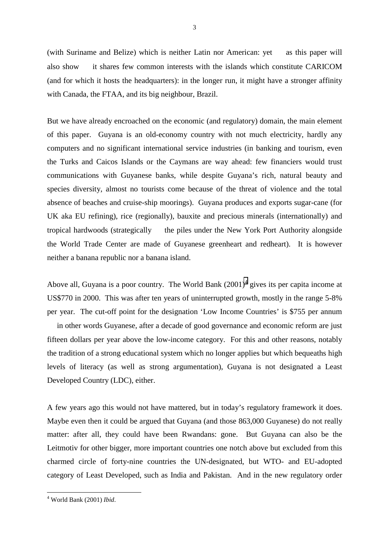(with Suriname and Belize) which is neither Latin nor American:  $yet$  — as this paper will also show — it shares few common interests with the islands which constitute CARICOM (and for which it hosts the headquarters): in the longer run, it might have a stronger affinity with Canada, the FTAA, and its big neighbour, Brazil.

But we have already encroached on the economic (and regulatory) domain, the main element of this paper. Guyana is an old-economy country with not much electricity, hardly any computers and no significant international service industries (in banking and tourism, even the Turks and Caicos Islands or the Caymans are way ahead: few financiers would trust communications with Guyanese banks, while despite Guyana's rich, natural beauty and species diversity, almost no tourists come because of the threat of violence and the total absence of beaches and cruise-ship moorings). Guyana produces and exports sugar-cane (for UK aka EU refining), rice (regionally), bauxite and precious minerals (internationally) and tropical hardwoods (strategically — the piles under the New York Port Authority alongside the World Trade Center are made of Guyanese greenheart and redheart). It is however neither a banana republic nor a banana island.

Above all, Guyana is a poor country. The World Bank  $(2001)^4$  gives its per capita income at US\$770 in 2000. This was after ten years of uninterrupted growth, mostly in the range 5-8% per year. The cut-off point for the designation 'Low Income Countries' is \$755 per annum  $\frac{1}{1}$  in other words Guyanese, after a decade of good governance and economic reform are just fifteen dollars per year above the low-income category. For this and other reasons, notably the tradition of a strong educational system which no longer applies but which bequeaths high levels of literacy (as well as strong argumentation), Guyana is not designated a Least Developed Country (LDC), either.

A few years ago this would not have mattered, but in today's regulatory framework it does. Maybe even then it could be argued that Guyana (and those 863,000 Guyanese) do not really matter: after all, they could have been Rwandans: gone. But Guyana can also be the Leitmotiv for other bigger, more important countries one notch above but excluded from this charmed circle of forty-nine countries the UN-designated, but WTO- and EU-adopted category of Least Developed, such as India and Pakistan. And in the new regulatory order

<sup>4</sup> World Bank (2001) *Ibid*.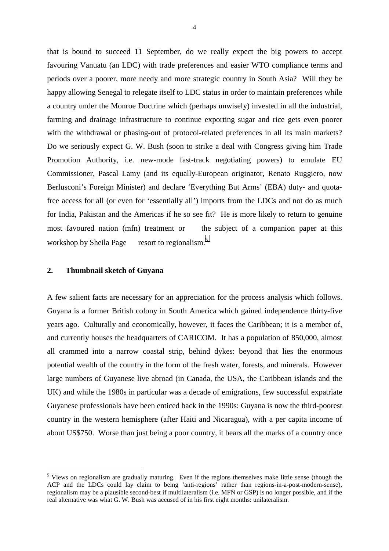that is bound to succeed 11 September, do we really expect the big powers to accept favouring Vanuatu (an LDC) with trade preferences and easier WTO compliance terms and periods over a poorer, more needy and more strategic country in South Asia? Will they be happy allowing Senegal to relegate itself to LDC status in order to maintain preferences while a country under the Monroe Doctrine which (perhaps unwisely) invested in all the industrial, farming and drainage infrastructure to continue exporting sugar and rice gets even poorer with the withdrawal or phasing-out of protocol-related preferences in all its main markets? Do we seriously expect G. W. Bush (soon to strike a deal with Congress giving him Trade Promotion Authority, i.e. new-mode fast-track negotiating powers) to emulate EU Commissioner, Pascal Lamy (and its equally-European originator, Renato Ruggiero, now Berlusconi's Foreign Minister) and declare 'Everything But Arms' (EBA) duty- and quotafree access for all (or even for 'essentially all') imports from the LDCs and not do as much for India, Pakistan and the Americas if he so see fit? He is more likely to return to genuine most favoured nation (mfn) treatment or  $-$  the subject of a companion paper at this workshop by Sheila Page  $-$  resort to regionalism.<sup>5</sup>

### **2. Thumbnail sketch of Guyana**

 $\overline{a}$ 

A few salient facts are necessary for an appreciation for the process analysis which follows. Guyana is a former British colony in South America which gained independence thirty-five years ago. Culturally and economically, however, it faces the Caribbean; it is a member of, and currently houses the headquarters of CARICOM. It has a population of 850,000, almost all crammed into a narrow coastal strip, behind dykes: beyond that lies the enormous potential wealth of the country in the form of the fresh water, forests, and minerals. However large numbers of Guyanese live abroad (in Canada, the USA, the Caribbean islands and the UK) and while the 1980s in particular was a decade of emigrations, few successful expatriate Guyanese professionals have been enticed back in the 1990s: Guyana is now the third-poorest country in the western hemisphere (after Haiti and Nicaragua), with a per capita income of about US\$750. Worse than just being a poor country, it bears all the marks of a country once

<sup>&</sup>lt;sup>5</sup> Views on regionalism are gradually maturing. Even if the regions themselves make little sense (though the ACP and the LDCs could lay claim to being 'anti-regions' rather than regions-in-a-post-modern-sense), regionalism may be a plausible second-best if multilateralism (i.e. MFN or GSP) is no longer possible, and if the real alternative was what G. W. Bush was accused of in his first eight months: unilateralism.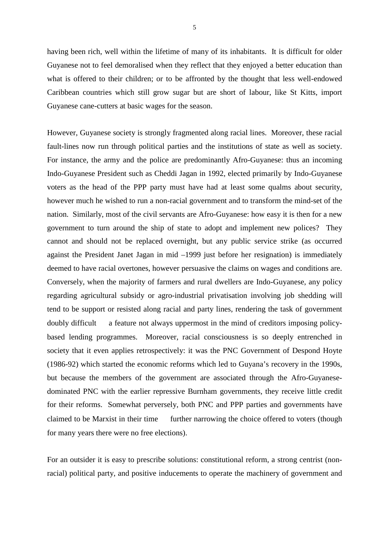having been rich, well within the lifetime of many of its inhabitants. It is difficult for older Guyanese not to feel demoralised when they reflect that they enjoyed a better education than what is offered to their children; or to be affronted by the thought that less well-endowed Caribbean countries which still grow sugar but are short of labour, like St Kitts, import Guyanese cane-cutters at basic wages for the season.

However, Guyanese society is strongly fragmented along racial lines. Moreover, these racial fault-lines now run through political parties and the institutions of state as well as society. For instance, the army and the police are predominantly Afro-Guyanese: thus an incoming Indo-Guyanese President such as Cheddi Jagan in 1992, elected primarily by Indo-Guyanese voters as the head of the PPP party must have had at least some qualms about security, however much he wished to run a non-racial government and to transform the mind-set of the nation. Similarly, most of the civil servants are Afro-Guyanese: how easy it is then for a new government to turn around the ship of state to adopt and implement new polices? They cannot and should not be replaced overnight, but any public service strike (as occurred against the President Janet Jagan in mid –1999 just before her resignation) is immediately deemed to have racial overtones, however persuasive the claims on wages and conditions are. Conversely, when the majority of farmers and rural dwellers are Indo-Guyanese, any policy regarding agricultural subsidy or agro-industrial privatisation involving job shedding will tend to be support or resisted along racial and party lines, rendering the task of government doubly difficult a feature not always uppermost in the mind of creditors imposing policybased lending programmes. Moreover, racial consciousness is so deeply entrenched in society that it even applies retrospectively: it was the PNC Government of Despond Hoyte (1986-92) which started the economic reforms which led to Guyana's recovery in the 1990s, but because the members of the government are associated through the Afro-Guyanesedominated PNC with the earlier repressive Burnham governments, they receive little credit for their reforms. Somewhat perversely, both PNC and PPP parties and governments have claimed to be Marxist in their time — further narrowing the choice offered to voters (though for many years there were no free elections).

For an outsider it is easy to prescribe solutions: constitutional reform, a strong centrist (nonracial) political party, and positive inducements to operate the machinery of government and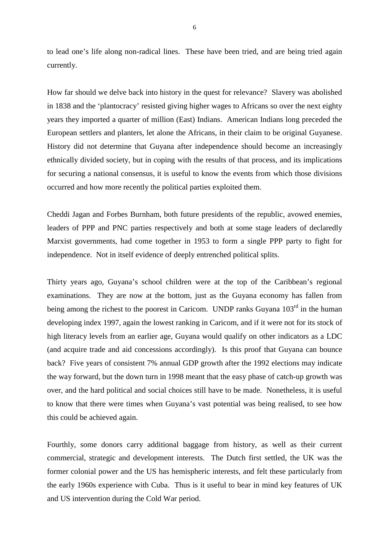to lead one's life along non-radical lines. These have been tried, and are being tried again currently.

How far should we delve back into history in the quest for relevance? Slavery was abolished in 1838 and the 'plantocracy' resisted giving higher wages to Africans so over the next eighty years they imported a quarter of million (East) Indians. American Indians long preceded the European settlers and planters, let alone the Africans, in their claim to be original Guyanese. History did not determine that Guyana after independence should become an increasingly ethnically divided society, but in coping with the results of that process, and its implications for securing a national consensus, it is useful to know the events from which those divisions occurred and how more recently the political parties exploited them.

Cheddi Jagan and Forbes Burnham, both future presidents of the republic, avowed enemies, leaders of PPP and PNC parties respectively and both at some stage leaders of declaredly Marxist governments, had come together in 1953 to form a single PPP party to fight for independence. Not in itself evidence of deeply entrenched political splits.

Thirty years ago, Guyana's school children were at the top of the Caribbean's regional examinations. They are now at the bottom, just as the Guyana economy has fallen from being among the richest to the poorest in Caricom. UNDP ranks Guyana 103<sup>rd</sup> in the human developing index 1997, again the lowest ranking in Caricom, and if it were not for its stock of high literacy levels from an earlier age, Guyana would qualify on other indicators as a LDC (and acquire trade and aid concessions accordingly). Is this proof that Guyana can bounce back? Five years of consistent 7% annual GDP growth after the 1992 elections may indicate the way forward, but the down turn in 1998 meant that the easy phase of catch-up growth was over, and the hard political and social choices still have to be made. Nonetheless, it is useful to know that there were times when Guyana's vast potential was being realised, to see how this could be achieved again.

Fourthly, some donors carry additional baggage from history, as well as their current commercial, strategic and development interests. The Dutch first settled, the UK was the former colonial power and the US has hemispheric interests, and felt these particularly from the early 1960s experience with Cuba. Thus is it useful to bear in mind key features of UK and US intervention during the Cold War period.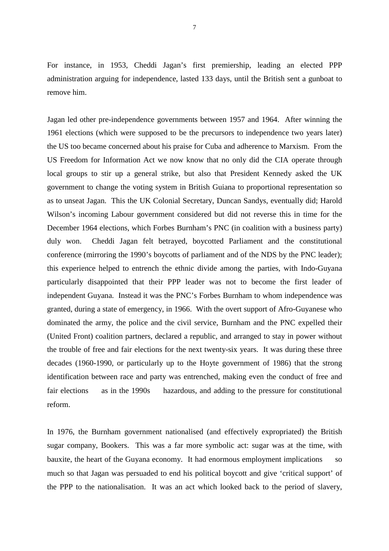For instance, in 1953, Cheddi Jagan's first premiership, leading an elected PPP administration arguing for independence, lasted 133 days, until the British sent a gunboat to remove him.

Jagan led other pre-independence governments between 1957 and 1964. After winning the 1961 elections (which were supposed to be the precursors to independence two years later) the US too became concerned about his praise for Cuba and adherence to Marxism. From the US Freedom for Information Act we now know that no only did the CIA operate through local groups to stir up a general strike, but also that President Kennedy asked the UK government to change the voting system in British Guiana to proportional representation so as to unseat Jagan. This the UK Colonial Secretary, Duncan Sandys, eventually did; Harold Wilson's incoming Labour government considered but did not reverse this in time for the December 1964 elections, which Forbes Burnham's PNC (in coalition with a business party) duly won. Cheddi Jagan felt betrayed, boycotted Parliament and the constitutional conference (mirroring the 1990's boycotts of parliament and of the NDS by the PNC leader); this experience helped to entrench the ethnic divide among the parties, with Indo-Guyana particularly disappointed that their PPP leader was not to become the first leader of independent Guyana. Instead it was the PNC's Forbes Burnham to whom independence was granted, during a state of emergency, in 1966. With the overt support of Afro-Guyanese who dominated the army, the police and the civil service, Burnham and the PNC expelled their (United Front) coalition partners, declared a republic, and arranged to stay in power without the trouble of free and fair elections for the next twenty-six years. It was during these three decades (1960-1990, or particularly up to the Hoyte government of 1986) that the strong identification between race and party was entrenched, making even the conduct of free and fair elections  $\frac{1}{2}$  as in the 1990s  $\frac{1}{2}$  hazardous, and adding to the pressure for constitutional reform.

In 1976, the Burnham government nationalised (and effectively expropriated) the British sugar company, Bookers. This was a far more symbolic act: sugar was at the time, with bauxite, the heart of the Guyana economy. It had enormous employment implications  $\sim$  so much so that Jagan was persuaded to end his political boycott and give 'critical support' of the PPP to the nationalisation. It was an act which looked back to the period of slavery,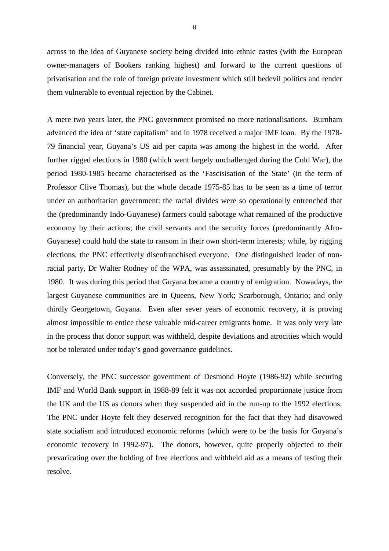across to the idea of Guyanese society being divided into ethnic castes (with the European owner-managers of Bookers ranking highest) and forward to the current questions of privatisation and the role of foreign private investment which still bedevil politics and render them vulnerable to eventual rejection by the Cabinet.

A mere two years later, the PNC government promised no more nationalisations. Burnham advanced the idea of 'state capitalism' and in 1978 received a major IMF loan. By the 1978- 79 financial year, Guyana's US aid per capita was among the highest in the world. After further rigged elections in 1980 (which went largely unchallenged during the Cold War), the period 1980-1985 became characterised as the 'Fascisisation of the State' (in the term of Professor Clive Thomas), but the whole decade 1975-85 has to be seen as a time of terror under an authoritarian government: the racial divides were so operationally entrenched that the (predominantly Indo-Guyanese) farmers could sabotage what remained of the productive economy by their actions; the civil servants and the security forces (predominantly Afro-Guyanese) could hold the state to ransom in their own short-term interests; while, by rigging elections, the PNC effectively disenfranchised everyone. One distinguished leader of nonracial party, Dr Walter Rodney of the WPA, was assassinated, presumably by the PNC, in 1980. It was during this period that Guyana became a country of emigration. Nowadays, the largest Guyanese communities are in Queens, New York; Scarborough, Ontario; and only thirdly Georgetown, Guyana. Even after sever years of economic recovery, it is proving almost impossible to entice these valuable mid-career emigrants home. It was only very late in the process that donor support was withheld, despite deviations and atrocities which would not be tolerated under today's good governance guidelines.

Conversely, the PNC successor government of Desmond Hoyte (1986-92) while securing IMF and World Bank support in 1988-89 felt it was not accorded proportionate justice from the UK and the US as donors when they suspended aid in the run-up to the 1992 elections. The PNC under Hoyte felt they deserved recognition for the fact that they had disavowed state socialism and introduced economic reforms (which were to be the basis for Guyana's economic recovery in 1992-97). The donors, however, quite properly objected to their prevaricating over the holding of free elections and withheld aid as a means of testing their resolve.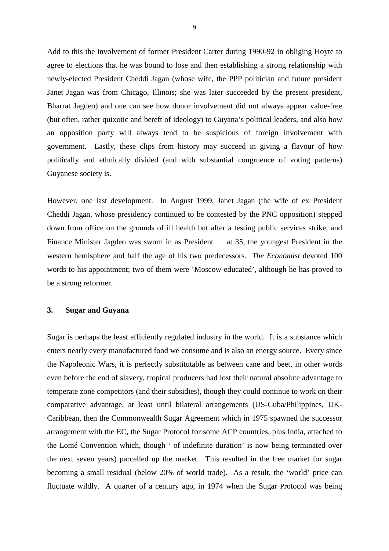Add to this the involvement of former President Carter during 1990-92 in obliging Hoyte to agree to elections that he was bound to lose and then establishing a strong relationship with newly-elected President Cheddi Jagan (whose wife, the PPP politician and future president Janet Jagan was from Chicago, Illinois; she was later succeeded by the present president, Bharrat Jagdeo) and one can see how donor involvement did not always appear value-free (but often, rather quixotic and bereft of ideology) to Guyana's political leaders, and also how an opposition party will always tend to be suspicious of foreign involvement with government. Lastly, these clips from history may succeed in giving a flavour of how politically and ethnically divided (and with substantial congruence of voting patterns) Guyanese society is.

However, one last development. In August 1999, Janet Jagan (the wife of ex President Cheddi Jagan, whose presidency continued to be contested by the PNC opposition) stepped down from office on the grounds of ill health but after a testing public services strike, and Finance Minister Jagdeo was sworn in as President  $-$  at 35, the youngest President in the western hemisphere and half the age of his two predecessors. *The Economist* devoted 100 words to his appointment; two of them were 'Moscow-educated', although he has proved to be a strong reformer.

#### **3. Sugar and Guyana**

Sugar is perhaps the least efficiently regulated industry in the world. It is a substance which enters nearly every manufactured food we consume and is also an energy source. Every since the Napoleonic Wars, it is perfectly substitutable as between cane and beet, in other words even before the end of slavery, tropical producers had lost their natural absolute advantage to temperate zone competitors (and their subsidies), though they could continue to work on their comparative advantage, at least until bilateral arrangements (US-Cuba/Philippines, UK-Caribbean, then the Commonwealth Sugar Agreement which in 1975 spawned the successor arrangement with the EC, the Sugar Protocol for some ACP countries, plus India, attached to the Lomé Convention which, though ' of indefinite duration' is now being terminated over the next seven years) parcelled up the market. This resulted in the free market for sugar becoming a small residual (below 20% of world trade). As a result, the 'world' price can fluctuate wildly. A quarter of a century ago, in 1974 when the Sugar Protocol was being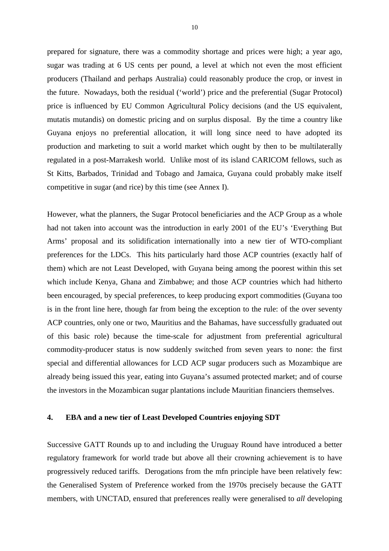prepared for signature, there was a commodity shortage and prices were high; a year ago, sugar was trading at 6 US cents per pound, a level at which not even the most efficient producers (Thailand and perhaps Australia) could reasonably produce the crop, or invest in the future. Nowadays, both the residual ('world') price and the preferential (Sugar Protocol) price is influenced by EU Common Agricultural Policy decisions (and the US equivalent, mutatis mutandis) on domestic pricing and on surplus disposal. By the time a country like Guyana enjoys no preferential allocation, it will long since need to have adopted its production and marketing to suit a world market which ought by then to be multilaterally regulated in a post-Marrakesh world. Unlike most of its island CARICOM fellows, such as St Kitts, Barbados, Trinidad and Tobago and Jamaica, Guyana could probably make itself competitive in sugar (and rice) by this time (see Annex I).

However, what the planners, the Sugar Protocol beneficiaries and the ACP Group as a whole had not taken into account was the introduction in early 2001 of the EU's 'Everything But Arms' proposal and its solidification internationally into a new tier of WTO-compliant preferences for the LDCs. This hits particularly hard those ACP countries (exactly half of them) which are not Least Developed, with Guyana being among the poorest within this set which include Kenya, Ghana and Zimbabwe; and those ACP countries which had hitherto been encouraged, by special preferences, to keep producing export commodities (Guyana too is in the front line here, though far from being the exception to the rule: of the over seventy ACP countries, only one or two, Mauritius and the Bahamas, have successfully graduated out of this basic role) because the time-scale for adjustment from preferential agricultural commodity-producer status is now suddenly switched from seven years to none: the first special and differential allowances for LCD ACP sugar producers such as Mozambique are already being issued this year, eating into Guyana's assumed protected market; and of course the investors in the Mozambican sugar plantations include Mauritian financiers themselves.

#### **4. EBA and a new tier of Least Developed Countries enjoying SDT**

Successive GATT Rounds up to and including the Uruguay Round have introduced a better regulatory framework for world trade but above all their crowning achievement is to have progressively reduced tariffs. Derogations from the mfn principle have been relatively few: the Generalised System of Preference worked from the 1970s precisely because the GATT members, with UNCTAD, ensured that preferences really were generalised to *all* developing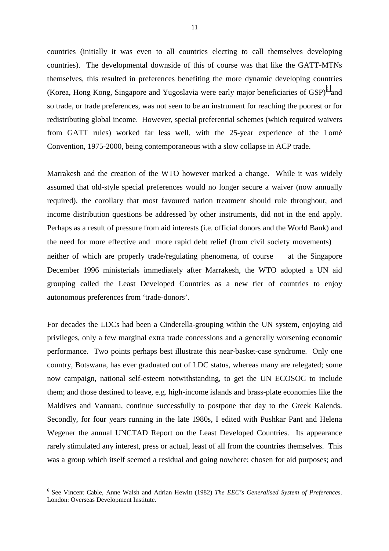countries (initially it was even to all countries electing to call themselves developing countries). The developmental downside of this of course was that like the GATT-MTNs themselves, this resulted in preferences benefiting the more dynamic developing countries (Korea, Hong Kong, Singapore and Yugoslavia were early major beneficiaries of  $GSP$ )<sup>6</sup> and so trade, or trade preferences, was not seen to be an instrument for reaching the poorest or for redistributing global income. However, special preferential schemes (which required waivers from GATT rules) worked far less well, with the 25-year experience of the Lomé Convention, 1975-2000, being contemporaneous with a slow collapse in ACP trade.

Marrakesh and the creation of the WTO however marked a change. While it was widely assumed that old-style special preferences would no longer secure a waiver (now annually required), the corollary that most favoured nation treatment should rule throughout, and income distribution questions be addressed by other instruments, did not in the end apply. Perhaps as a result of pressure from aid interests (i.e. official donors and the World Bank) and the need for more effective and more rapid debt relief (from civil society movements) neither of which are properly trade/regulating phenomena, of course  $-$  at the Singapore December 1996 ministerials immediately after Marrakesh, the WTO adopted a UN aid grouping called the Least Developed Countries as a new tier of countries to enjoy autonomous preferences from 'trade-donors'.

For decades the LDCs had been a Cinderella-grouping within the UN system, enjoying aid privileges, only a few marginal extra trade concessions and a generally worsening economic performance. Two points perhaps best illustrate this near-basket-case syndrome. Only one country, Botswana, has ever graduated out of LDC status, whereas many are relegated; some now campaign, national self-esteem notwithstanding, to get the UN ECOSOC to include them; and those destined to leave, e.g. high-income islands and brass-plate economies like the Maldives and Vanuatu, continue successfully to postpone that day to the Greek Kalends. Secondly, for four years running in the late 1980s, I edited with Pushkar Pant and Helena Wegener the annual UNCTAD Report on the Least Developed Countries. Its appearance rarely stimulated any interest, press or actual, least of all from the countries themselves. This was a group which itself seemed a residual and going nowhere; chosen for aid purposes; and

<sup>6</sup> See Vincent Cable, Anne Walsh and Adrian Hewitt (1982) *The EEC's Generalised System of Preferences*. London: Overseas Development Institute.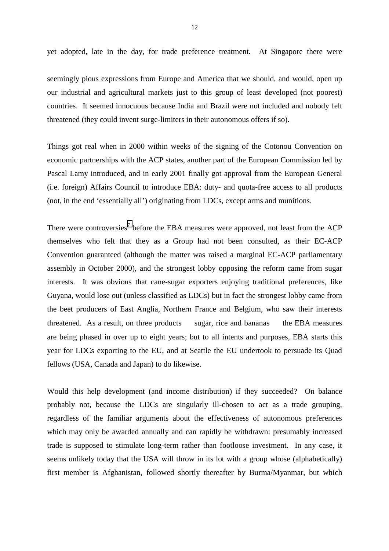yet adopted, late in the day, for trade preference treatment. At Singapore there were

seemingly pious expressions from Europe and America that we should, and would, open up our industrial and agricultural markets just to this group of least developed (not poorest) countries. It seemed innocuous because India and Brazil were not included and nobody felt threatened (they could invent surge-limiters in their autonomous offers if so).

Things got real when in 2000 within weeks of the signing of the Cotonou Convention on economic partnerships with the ACP states, another part of the European Commission led by Pascal Lamy introduced, and in early 2001 finally got approval from the European General (i.e. foreign) Affairs Council to introduce EBA: duty- and quota-free access to all products (not, in the end 'essentially all') originating from LDCs, except arms and munitions.

There were controversies<sup>7</sup> before the EBA measures were approved, not least from the ACP themselves who felt that they as a Group had not been consulted, as their EC-ACP Convention guaranteed (although the matter was raised a marginal EC-ACP parliamentary assembly in October 2000), and the strongest lobby opposing the reform came from sugar interests. It was obvious that cane-sugar exporters enjoying traditional preferences, like Guyana, would lose out (unless classified as LDCs) but in fact the strongest lobby came from the beet producers of East Anglia, Northern France and Belgium, who saw their interests threatened. As a result, on three products  $-$  sugar, rice and bananas  $-$  the EBA measures are being phased in over up to eight years; but to all intents and purposes, EBA starts this year for LDCs exporting to the EU, and at Seattle the EU undertook to persuade its Quad fellows (USA, Canada and Japan) to do likewise.

Would this help development (and income distribution) if they succeeded? On balance probably not, because the LDCs are singularly ill-chosen to act as a trade grouping, regardless of the familiar arguments about the effectiveness of autonomous preferences which may only be awarded annually and can rapidly be withdrawn: presumably increased trade is supposed to stimulate long-term rather than footloose investment. In any case, it seems unlikely today that the USA will throw in its lot with a group whose (alphabetically) first member is Afghanistan, followed shortly thereafter by Burma/Myanmar, but which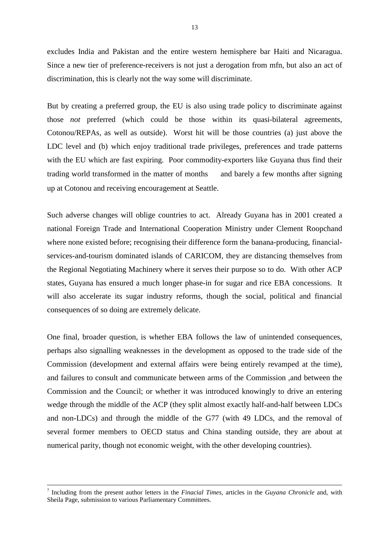excludes India and Pakistan and the entire western hemisphere bar Haiti and Nicaragua. Since a new tier of preference-receivers is not just a derogation from mfn, but also an act of discrimination, this is clearly not the way some will discriminate.

But by creating a preferred group, the EU is also using trade policy to discriminate against those *not* preferred (which could be those within its quasi-bilateral agreements, Cotonou/REPAs, as well as outside). Worst hit will be those countries (a) just above the LDC level and (b) which enjoy traditional trade privileges, preferences and trade patterns with the EU which are fast expiring. Poor commodity-exporters like Guyana thus find their trading world transformed in the matter of months — and barely a few months after signing up at Cotonou and receiving encouragement at Seattle.

Such adverse changes will oblige countries to act. Already Guyana has in 2001 created a national Foreign Trade and International Cooperation Ministry under Clement Roopchand where none existed before; recognising their difference form the banana-producing, financialservices-and-tourism dominated islands of CARICOM, they are distancing themselves from the Regional Negotiating Machinery where it serves their purpose so to do. With other ACP states, Guyana has ensured a much longer phase-in for sugar and rice EBA concessions. It will also accelerate its sugar industry reforms, though the social, political and financial consequences of so doing are extremely delicate.

One final, broader question, is whether EBA follows the law of unintended consequences, perhaps also signalling weaknesses in the development as opposed to the trade side of the Commission (development and external affairs were being entirely revamped at the time), and failures to consult and communicate between arms of the Commission ,and between the Commission and the Council; or whether it was introduced knowingly to drive an entering wedge through the middle of the ACP (they split almost exactly half-and-half between LDCs and non-LDCs) and through the middle of the G77 (with 49 LDCs, and the removal of several former members to OECD status and China standing outside, they are about at numerical parity, though not economic weight, with the other developing countries).

<sup>-&</sup>lt;br>7 Including from the present author letters in the *Finacial Times*, articles in the *Guyana Chronicle* and, with Sheila Page, submission to various Parliamentary Committees.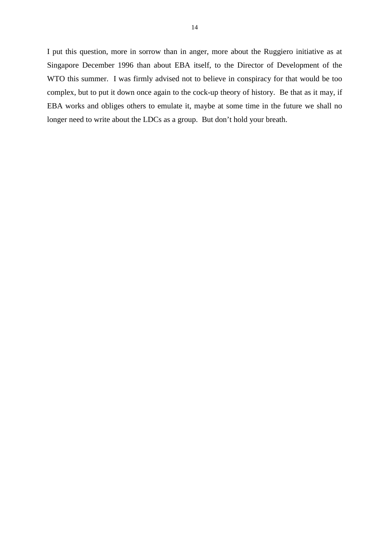I put this question, more in sorrow than in anger, more about the Ruggiero initiative as at Singapore December 1996 than about EBA itself, to the Director of Development of the WTO this summer. I was firmly advised not to believe in conspiracy for that would be too complex, but to put it down once again to the cock-up theory of history. Be that as it may, if EBA works and obliges others to emulate it, maybe at some time in the future we shall no longer need to write about the LDCs as a group. But don't hold your breath.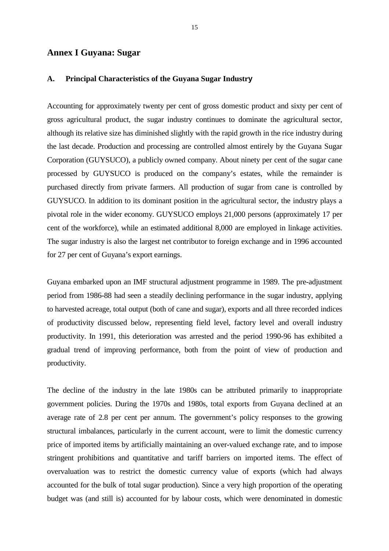# **Annex I Guyana: Sugar**

#### **A. Principal Characteristics of the Guyana Sugar Industry**

Accounting for approximately twenty per cent of gross domestic product and sixty per cent of gross agricultural product, the sugar industry continues to dominate the agricultural sector, although its relative size has diminished slightly with the rapid growth in the rice industry during the last decade. Production and processing are controlled almost entirely by the Guyana Sugar Corporation (GUYSUCO), a publicly owned company. About ninety per cent of the sugar cane processed by GUYSUCO is produced on the company's estates, while the remainder is purchased directly from private farmers. All production of sugar from cane is controlled by GUYSUCO. In addition to its dominant position in the agricultural sector, the industry plays a pivotal role in the wider economy. GUYSUCO employs 21,000 persons (approximately 17 per cent of the workforce), while an estimated additional 8,000 are employed in linkage activities. The sugar industry is also the largest net contributor to foreign exchange and in 1996 accounted for 27 per cent of Guyana's export earnings.

Guyana embarked upon an IMF structural adjustment programme in 1989. The pre-adjustment period from 1986-88 had seen a steadily declining performance in the sugar industry, applying to harvested acreage, total output (both of cane and sugar), exports and all three recorded indices of productivity discussed below, representing field level, factory level and overall industry productivity. In 1991, this deterioration was arrested and the period 1990-96 has exhibited a gradual trend of improving performance, both from the point of view of production and productivity.

The decline of the industry in the late 1980s can be attributed primarily to inappropriate government policies. During the 1970s and 1980s, total exports from Guyana declined at an average rate of 2.8 per cent per annum. The government's policy responses to the growing structural imbalances, particularly in the current account, were to limit the domestic currency price of imported items by artificially maintaining an over-valued exchange rate, and to impose stringent prohibitions and quantitative and tariff barriers on imported items. The effect of overvaluation was to restrict the domestic currency value of exports (which had always accounted for the bulk of total sugar production). Since a very high proportion of the operating budget was (and still is) accounted for by labour costs, which were denominated in domestic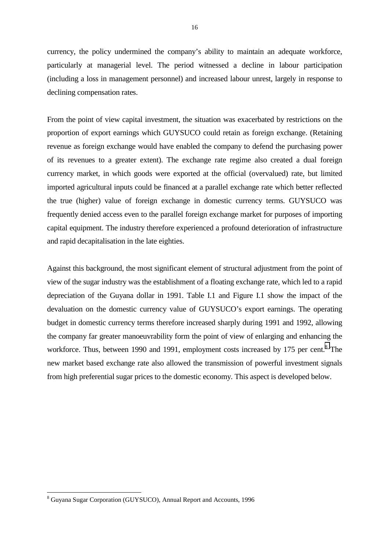currency, the policy undermined the company's ability to maintain an adequate workforce, particularly at managerial level. The period witnessed a decline in labour participation (including a loss in management personnel) and increased labour unrest, largely in response to declining compensation rates.

From the point of view capital investment, the situation was exacerbated by restrictions on the proportion of export earnings which GUYSUCO could retain as foreign exchange. (Retaining revenue as foreign exchange would have enabled the company to defend the purchasing power of its revenues to a greater extent). The exchange rate regime also created a dual foreign currency market, in which goods were exported at the official (overvalued) rate, but limited imported agricultural inputs could be financed at a parallel exchange rate which better reflected the true (higher) value of foreign exchange in domestic currency terms. GUYSUCO was frequently denied access even to the parallel foreign exchange market for purposes of importing capital equipment. The industry therefore experienced a profound deterioration of infrastructure and rapid decapitalisation in the late eighties.

Against this background, the most significant element of structural adjustment from the point of view of the sugar industry was the establishment of a floating exchange rate, which led to a rapid depreciation of the Guyana dollar in 1991. Table I.1 and Figure I.1 show the impact of the devaluation on the domestic currency value of GUYSUCO's export earnings. The operating budget in domestic currency terms therefore increased sharply during 1991 and 1992, allowing the company far greater manoeuvrability form the point of view of enlarging and enhancing the workforce. Thus, between 1990 and 1991, employment costs increased by 175 per cent.<sup>8</sup> The new market based exchange rate also allowed the transmission of powerful investment signals from high preferential sugar prices to the domestic economy. This aspect is developed below.

<sup>&</sup>lt;sup>8</sup> Guyana Sugar Corporation (GUYSUCO), Annual Report and Accounts, 1996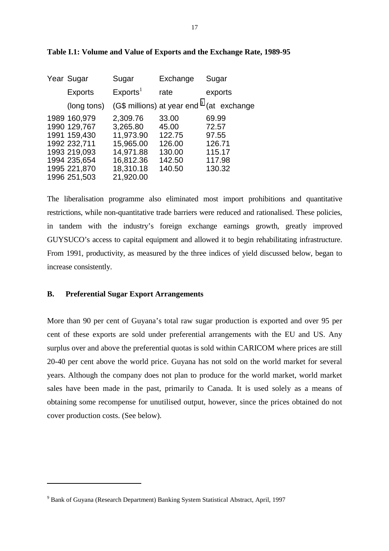| Year Sugar                                                                                                                   | Sugar                                                                                              | Exchange                                                         | Sugar                                                           |
|------------------------------------------------------------------------------------------------------------------------------|----------------------------------------------------------------------------------------------------|------------------------------------------------------------------|-----------------------------------------------------------------|
| <b>Exports</b>                                                                                                               | Exports <sup>1</sup>                                                                               | rate                                                             | exports                                                         |
| (long tons)                                                                                                                  |                                                                                                    |                                                                  | (G\$ millions) at year end <sup>9</sup> (at exchange            |
| 1989 160,979<br>1990 129,767<br>1991 159,430<br>1992 232,711<br>1993 219,093<br>1994 235,654<br>1995 221,870<br>1996 251,503 | 2,309.76<br>3,265.80<br>11,973.90<br>15,965.00<br>14,971.88<br>16,812.36<br>18,310.18<br>21,920.00 | 33.00<br>45.00<br>122.75<br>126.00<br>130.00<br>142.50<br>140.50 | 69.99<br>72.57<br>97.55<br>126.71<br>115.17<br>117.98<br>130.32 |

#### **Table I.1: Volume and Value of Exports and the Exchange Rate, 1989-95**

The liberalisation programme also eliminated most import prohibitions and quantitative restrictions, while non-quantitative trade barriers were reduced and rationalised. These policies, in tandem with the industry's foreign exchange earnings growth, greatly improved GUYSUCO's access to capital equipment and allowed it to begin rehabilitating infrastructure. From 1991, productivity, as measured by the three indices of yield discussed below, began to increase consistently.

### **B. Preferential Sugar Export Arrangements**

 $\overline{a}$ 

More than 90 per cent of Guyana's total raw sugar production is exported and over 95 per cent of these exports are sold under preferential arrangements with the EU and US. Any surplus over and above the preferential quotas is sold within CARICOM where prices are still 20-40 per cent above the world price. Guyana has not sold on the world market for several years. Although the company does not plan to produce for the world market, world market sales have been made in the past, primarily to Canada. It is used solely as a means of obtaining some recompense for unutilised output, however, since the prices obtained do not cover production costs. (See below).

<sup>&</sup>lt;sup>9</sup> Bank of Guyana (Research Department) Banking System Statistical Abstract, April, 1997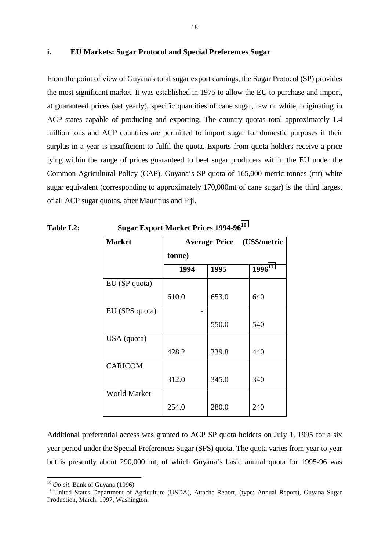### **i. EU Markets: Sugar Protocol and Special Preferences Sugar**

From the point of view of Guyana's total sugar export earnings, the Sugar Protocol (SP) provides the most significant market. It was established in 1975 to allow the EU to purchase and import, at guaranteed prices (set yearly), specific quantities of cane sugar, raw or white, originating in ACP states capable of producing and exporting. The country quotas total approximately 1.4 million tons and ACP countries are permitted to import sugar for domestic purposes if their surplus in a year is insufficient to fulfil the quota. Exports from quota holders receive a price lying within the range of prices guaranteed to beet sugar producers within the EU under the Common Agricultural Policy (CAP). Guyana's SP quota of 165,000 metric tonnes (mt) white sugar equivalent (corresponding to approximately 170,000mt of cane sugar) is the third largest of all ACP sugar quotas, after Mauritius and Fiji.

| <b>Market</b>       | <b>Average Price (US\$/metric</b><br>tonne) |       |             |
|---------------------|---------------------------------------------|-------|-------------|
|                     |                                             |       |             |
|                     | 1994                                        | 1995  | $1996^{11}$ |
| EU (SP quota)       |                                             |       |             |
|                     | 610.0                                       | 653.0 | 640         |
| EU (SPS quota)      |                                             |       |             |
|                     |                                             | 550.0 | 540         |
| USA (quota)         |                                             |       |             |
|                     | 428.2                                       | 339.8 | 440         |
| <b>CARICOM</b>      |                                             |       |             |
|                     | 312.0                                       | 345.0 | 340         |
| <b>World Market</b> |                                             |       |             |
|                     | 254.0                                       | 280.0 | 240         |

**Table I.2: Sugar Export Market Prices 1994-96<sup>10</sup>**

Additional preferential access was granted to ACP SP quota holders on July 1, 1995 for a six year period under the Special Preferences Sugar (SPS) quota. The quota varies from year to year but is presently about 290,000 mt, of which Guyana's basic annual quota for 1995-96 was

<sup>&</sup>lt;sup>10</sup> *Op cit*. Bank of Guyana (1996)<br><sup>11</sup> United States Department of Agriculture (USDA), Attache Report, (type: Annual Report), Guyana Sugar Production, March, 1997, Washington.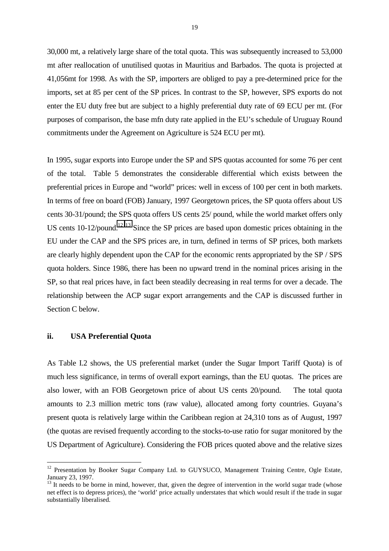30,000 mt, a relatively large share of the total quota. This was subsequently increased to 53,000 mt after reallocation of unutilised quotas in Mauritius and Barbados. The quota is projected at 41,056mt for 1998. As with the SP, importers are obliged to pay a pre-determined price for the imports, set at 85 per cent of the SP prices. In contrast to the SP, however, SPS exports do not enter the EU duty free but are subject to a highly preferential duty rate of 69 ECU per mt. (For purposes of comparison, the base mfn duty rate applied in the EU's schedule of Uruguay Round commitments under the Agreement on Agriculture is 524 ECU per mt).

In 1995, sugar exports into Europe under the SP and SPS quotas accounted for some 76 per cent of the total. Table 5 demonstrates the considerable differential which exists between the preferential prices in Europe and "world" prices: well in excess of 100 per cent in both markets. In terms of free on board (FOB) January, 1997 Georgetown prices, the SP quota offers about US cents 30-31/pound; the SPS quota offers US cents 25/ pound, while the world market offers only US cents 10-12/pound.<sup>12 13</sup> Since the SP prices are based upon domestic prices obtaining in the EU under the CAP and the SPS prices are, in turn, defined in terms of SP prices, both markets are clearly highly dependent upon the CAP for the economic rents appropriated by the SP / SPS quota holders. Since 1986, there has been no upward trend in the nominal prices arising in the SP, so that real prices have, in fact been steadily decreasing in real terms for over a decade. The relationship between the ACP sugar export arrangements and the CAP is discussed further in Section C below.

#### **ii. USA Preferential Quota**

 $\overline{a}$ 

As Table I.2 shows, the US preferential market (under the Sugar Import Tariff Quota) is of much less significance, in terms of overall export earnings, than the EU quotas. The prices are also lower, with an FOB Georgetown price of about US cents 20/pound. The total quota amounts to 2.3 million metric tons (raw value), allocated among forty countries. Guyana's present quota is relatively large within the Caribbean region at 24,310 tons as of August, 1997 (the quotas are revised frequently according to the stocks-to-use ratio for sugar monitored by the US Department of Agriculture). Considering the FOB prices quoted above and the relative sizes

<sup>&</sup>lt;sup>12</sup> Presentation by Booker Sugar Company Ltd. to GUYSUCO, Management Training Centre, Ogle Estate, January 23, 1997.

 $13$  It needs to be borne in mind, however, that, given the degree of intervention in the world sugar trade (whose net effect is to depress prices), the 'world' price actually understates that which would result if the trade in sugar substantially liberalised.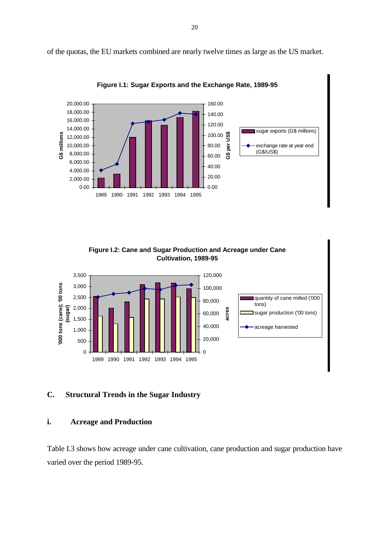of the quotas, the EU markets combined are nearly twelve times as large as the US market.



**Figure I.1: Sugar Exports and the Exchange Rate, 1989-95**

**Figure I.2: Cane and Sugar Production and Acreage under Cane Cultivation, 1989-95**



# **C. Structural Trends in the Sugar Industry**

# **i. Acreage and Production**

Table I.3 shows how acreage under cane cultivation, cane production and sugar production have varied over the period 1989-95.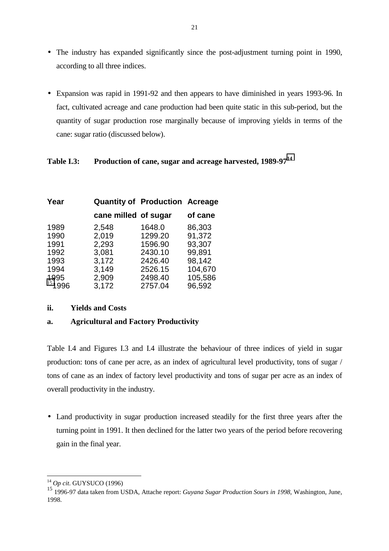- The industry has expanded significantly since the post-adjustment turning point in 1990, according to all three indices.
- Expansion was rapid in 1991-92 and then appears to have diminished in years 1993-96. In fact, cultivated acreage and cane production had been quite static in this sub-period, but the quantity of sugar production rose marginally because of improving yields in terms of the cane: sugar ratio (discussed below).

# **Table I.3: Production of cane, sugar and acreage harvested, 1989-97<sup>14</sup>**

| Year   |                      | <b>Quantity of Production Acreage</b> |         |
|--------|----------------------|---------------------------------------|---------|
|        | cane milled of sugar |                                       | of cane |
| 1989   | 2,548                | 1648.0                                | 86,303  |
| 1990   | 2,019                | 1299.20                               | 91,372  |
| 1991   | 2,293                | 1596.90                               | 93,307  |
| 1992   | 3,081                | 2430.10                               | 99,891  |
| 1993   | 3,172                | 2426.40                               | 98,142  |
| 1994   | 3.149                | 2526.15                               | 104,670 |
| 1995   | 2,909                | 2498.40                               | 105,586 |
| 151996 | 3,172                | 2757.04                               | 96,592  |

# **ii. Yields and Costs**

# **a. Agricultural and Factory Productivity**

Table I.4 and Figures I.3 and I.4 illustrate the behaviour of three indices of yield in sugar production: tons of cane per acre, as an index of agricultural level productivity, tons of sugar / tons of cane as an index of factory level productivity and tons of sugar per acre as an index of overall productivity in the industry.

• Land productivity in sugar production increased steadily for the first three years after the turning point in 1991. It then declined for the latter two years of the period before recovering gain in the final year.

<sup>14</sup> *Op cit*. GUYSUCO (1996)

<sup>15 1996-97</sup> data taken from USDA, Attache report: *Guyana Sugar Production Sours in 1998,* Washington, June, 1998.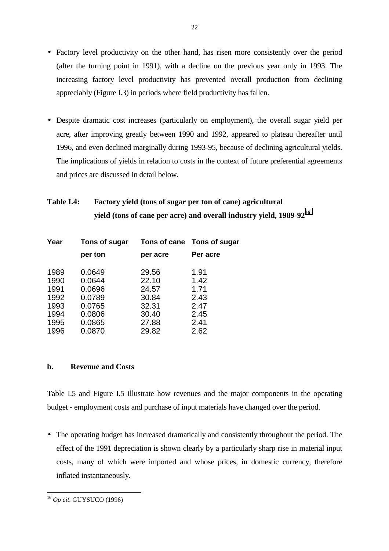- Factory level productivity on the other hand, has risen more consistently over the period (after the turning point in 1991), with a decline on the previous year only in 1993. The increasing factory level productivity has prevented overall production from declining appreciably (Figure I.3) in periods where field productivity has fallen.
- Despite dramatic cost increases (particularly on employment), the overall sugar yield per acre, after improving greatly between 1990 and 1992, appeared to plateau thereafter until 1996, and even declined marginally during 1993-95, because of declining agricultural yields. The implications of yields in relation to costs in the context of future preferential agreements and prices are discussed in detail below.

# **Table I.4: Factory yield (tons of sugar per ton of cane) agricultural yield (tons of cane per acre) and overall industry yield, 1989-9216**

| Year | Tons of sugar |          | Tons of cane Tons of sugar |
|------|---------------|----------|----------------------------|
|      | per ton       | per acre | Per acre                   |
| 1989 | 0.0649        | 29.56    | 1.91                       |
| 1990 | 0.0644        | 22.10    | 1.42                       |
| 1991 | 0.0696        | 24.57    | 1.71                       |
| 1992 | 0.0789        | 30.84    | 2.43                       |
| 1993 | 0.0765        | 32.31    | 2.47                       |
| 1994 | 0.0806        | 30.40    | 2.45                       |
| 1995 | 0.0865        | 27.88    | 2.41                       |
| 1996 | 0.0870        | 29.82    | 2.62                       |

# **b. Revenue and Costs**

Table I.5 and Figure I.5 illustrate how revenues and the major components in the operating budget - employment costs and purchase of input materials have changed over the period.

• The operating budget has increased dramatically and consistently throughout the period. The effect of the 1991 depreciation is shown clearly by a particularly sharp rise in material input costs, many of which were imported and whose prices, in domestic currency, therefore inflated instantaneously.

 $\overline{a}$ <sup>16</sup> *Op cit*. GUYSUCO (1996)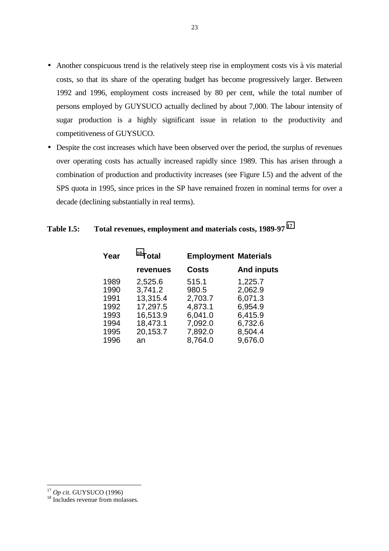- Another conspicuous trend is the relatively steep rise in employment costs vis à vis material costs, so that its share of the operating budget has become progressively larger. Between 1992 and 1996, employment costs increased by 80 per cent, while the total number of persons employed by GUYSUCO actually declined by about 7,000. The labour intensity of sugar production is a highly significant issue in relation to the productivity and competitiveness of GUYSUCO.
- Despite the cost increases which have been observed over the period, the surplus of revenues over operating costs has actually increased rapidly since 1989. This has arisen through a combination of production and productivity increases (see Figure I.5) and the advent of the SPS quota in 1995, since prices in the SP have remained frozen in nominal terms for over a decade (declining substantially in real terms).

# **Table I.5: Total revenues, employment and materials costs, 1989-97 <sup>17</sup>**

| Year | $18$ Total |              | <b>Employment Materials</b> |
|------|------------|--------------|-----------------------------|
|      | revenues   | <b>Costs</b> | <b>And inputs</b>           |
| 1989 | 2,525.6    | 515.1        | 1,225.7                     |
| 1990 | 3,741.2    | 980.5        | 2,062.9                     |
| 1991 | 13,315.4   | 2,703.7      | 6,071.3                     |
| 1992 | 17,297.5   | 4,873.1      | 6,954.9                     |
| 1993 | 16,513.9   | 6,041.0      | 6,415.9                     |
| 1994 | 18,473.1   | 7,092.0      | 6,732.6                     |
| 1995 | 20,153.7   | 7,892.0      | 8,504.4                     |
| 1996 | an         | 8,764.0      | 9,676.0                     |

<sup>23</sup>

<sup>&</sup>lt;sup>17</sup> *Op cit*. GUYSUCO (1996)<br><sup>18</sup> Includes revenue from molasses.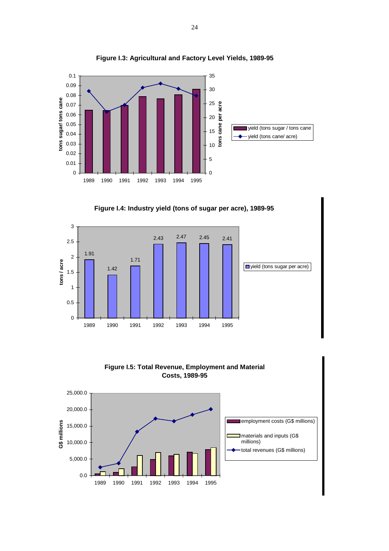

**Figure I.3: Agricultural and Factory Level Yields, 1989-95**





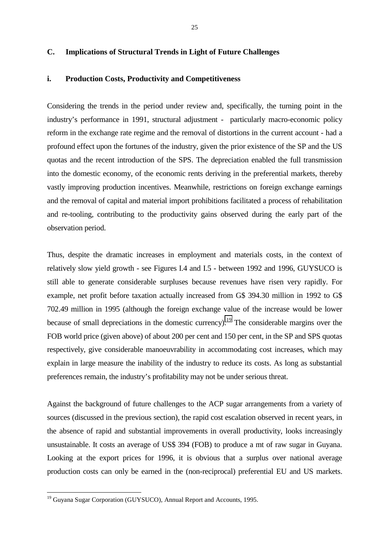# **C. Implications of Structural Trends in Light of Future Challenges**

#### **i. Production Costs, Productivity and Competitiveness**

Considering the trends in the period under review and, specifically, the turning point in the industry's performance in 1991, structural adjustment - particularly macro-economic policy reform in the exchange rate regime and the removal of distortions in the current account - had a profound effect upon the fortunes of the industry, given the prior existence of the SP and the US quotas and the recent introduction of the SPS. The depreciation enabled the full transmission into the domestic economy, of the economic rents deriving in the preferential markets, thereby vastly improving production incentives. Meanwhile, restrictions on foreign exchange earnings and the removal of capital and material import prohibitions facilitated a process of rehabilitation and re-tooling, contributing to the productivity gains observed during the early part of the observation period.

Thus, despite the dramatic increases in employment and materials costs, in the context of relatively slow yield growth - see Figures I.4 and I.5 - between 1992 and 1996, GUYSUCO is still able to generate considerable surpluses because revenues have risen very rapidly. For example, net profit before taxation actually increased from G\$ 394.30 million in 1992 to G\$ 702.49 million in 1995 (although the foreign exchange value of the increase would be lower because of small depreciations in the domestic currency).<sup>19</sup> The considerable margins over the FOB world price (given above) of about 200 per cent and 150 per cent, in the SP and SPS quotas respectively, give considerable manoeuvrability in accommodating cost increases, which may explain in large measure the inability of the industry to reduce its costs. As long as substantial preferences remain, the industry's profitability may not be under serious threat.

Against the background of future challenges to the ACP sugar arrangements from a variety of sources (discussed in the previous section), the rapid cost escalation observed in recent years, in the absence of rapid and substantial improvements in overall productivity, looks increasingly unsustainable. It costs an average of US\$ 394 (FOB) to produce a mt of raw sugar in Guyana. Looking at the export prices for 1996, it is obvious that a surplus over national average production costs can only be earned in the (non-reciprocal) preferential EU and US markets.

<sup>&</sup>lt;sup>19</sup> Guyana Sugar Corporation (GUYSUCO), Annual Report and Accounts, 1995.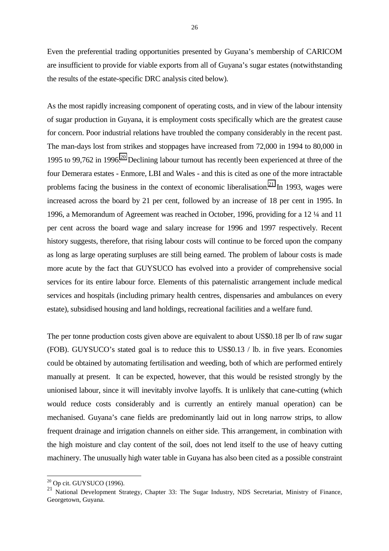Even the preferential trading opportunities presented by Guyana's membership of CARICOM are insufficient to provide for viable exports from all of Guyana's sugar estates (notwithstanding the results of the estate-specific DRC analysis cited below).

As the most rapidly increasing component of operating costs, and in view of the labour intensity of sugar production in Guyana, it is employment costs specifically which are the greatest cause for concern. Poor industrial relations have troubled the company considerably in the recent past. The man-days lost from strikes and stoppages have increased from 72,000 in 1994 to 80,000 in 1995 to 99.762 in 1996.<sup>20</sup> Declining labour turnout has recently been experienced at three of the four Demerara estates - Enmore, LBI and Wales - and this is cited as one of the more intractable problems facing the business in the context of economic liberalisation.<sup>21</sup> In 1993, wages were increased across the board by 21 per cent, followed by an increase of 18 per cent in 1995. In 1996, a Memorandum of Agreement was reached in October, 1996, providing for a 12 ¼ and 11 per cent across the board wage and salary increase for 1996 and 1997 respectively. Recent history suggests, therefore, that rising labour costs will continue to be forced upon the company as long as large operating surpluses are still being earned. The problem of labour costs is made more acute by the fact that GUYSUCO has evolved into a provider of comprehensive social services for its entire labour force. Elements of this paternalistic arrangement include medical services and hospitals (including primary health centres, dispensaries and ambulances on every estate), subsidised housing and land holdings, recreational facilities and a welfare fund.

The per tonne production costs given above are equivalent to about US\$0.18 per lb of raw sugar (FOB). GUYSUCO's stated goal is to reduce this to US\$0.13 / lb. in five years. Economies could be obtained by automating fertilisation and weeding, both of which are performed entirely manually at present. It can be expected, however, that this would be resisted strongly by the unionised labour, since it will inevitably involve layoffs. It is unlikely that cane-cutting (which would reduce costs considerably and is currently an entirely manual operation) can be mechanised. Guyana's cane fields are predominantly laid out in long narrow strips, to allow frequent drainage and irrigation channels on either side. This arrangement, in combination with the high moisture and clay content of the soil, does not lend itself to the use of heavy cutting machinery. The unusually high water table in Guyana has also been cited as a possible constraint

 $^{20}$  Op cit. GUYSUCO (1996).

<sup>&</sup>lt;sup>21</sup> National Development Strategy, Chapter 33: The Sugar Industry, NDS Secretariat, Ministry of Finance, Georgetown, Guyana.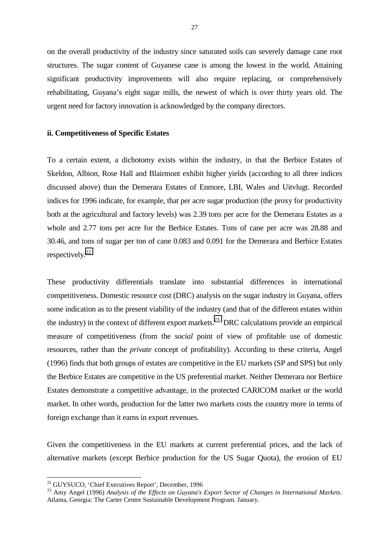on the overall productivity of the industry since saturated soils can severely damage cane root structures. The sugar content of Guyanese cane is among the lowest in the world. Attaining significant productivity improvements will also require replacing, or comprehensively rehabilitating, Guyana's eight sugar mills, the newest of which is over thirty years old. The urgent need for factory innovation is acknowledged by the company directors.

#### **ii. Competitiveness of Specific Estates**

To a certain extent, a dichotomy exists within the industry, in that the Berbice Estates of Skeldon, Albion, Rose Hall and Blairmont exhibit higher yields (according to all three indices discussed above) than the Demerara Estates of Enmore, LBI, Wales and Uitvlugt. Recorded indices for 1996 indicate, for example, that per acre sugar production (the proxy for productivity both at the agricultural and factory levels) was 2.39 tons per acre for the Demerara Estates as a whole and 2.77 tons per acre for the Berbice Estates. Tons of cane per acre was 28.88 and 30.46, and tons of sugar per ton of cane 0.083 and 0.091 for the Demerara and Berbice Estates respectively.22

These productivity differentials translate into substantial differences in international competitiveness. Domestic resource cost (DRC) analysis on the sugar industry in Guyana, offers some indication as to the present viability of the industry (and that of the different estates within the industry) in the context of different export markets.<sup>23</sup> DRC calculations provide an empirical measure of competitiveness (from the *social* point of view of profitable use of domestic resources, rather than the *private* concept of profitability). According to these criteria, Angel (1996) finds that both groups of estates are competitive in the EU markets (SP and SPS) but only the Berbice Estates are competitive in the US preferential market. Neither Demerara nor Berbice Estates demonstrate a competitive advantage, in the protected CARICOM market or the world market. In other words, production for the latter two markets costs the country more in terms of foreign exchange than it earns in export revenues.

Given the competitiveness in the EU markets at current preferential prices, and the lack of alternative markets (except Berbice production for the US Sugar Quota), the erosion of EU

<sup>&</sup>lt;sup>22</sup> GUYSUCO, 'Chief Executives Report', December, 1996

<sup>23</sup> Amy Angel (1996) *Analysis of the Effects on Guyana's Export Sector of Changes in International Markets*. Atlanta, Georgia: The Carter Centre Sustainable Development Program. January.